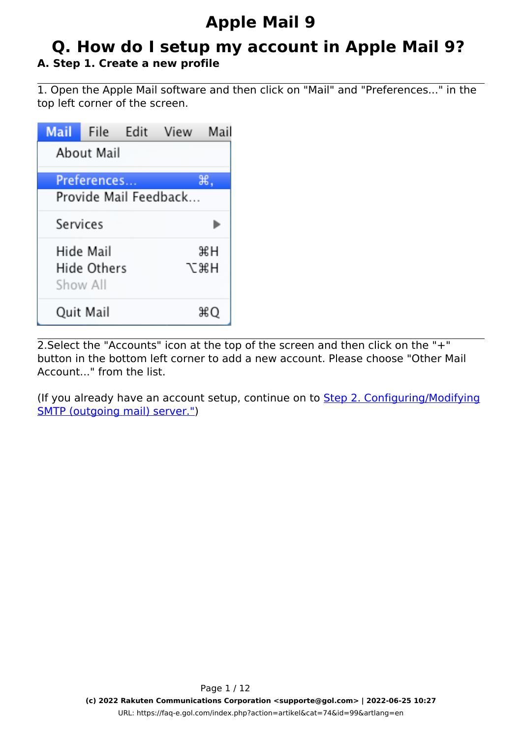#### **Q. How do I setup my account in Apple Mail 9? A. Step 1. Create a new profile**

1. Open the Apple Mail software and then click on "Mail" and "Preferences..." in the top left corner of the screen.

| Mail                  |          | File Edit | View | Mail |
|-----------------------|----------|-----------|------|------|
| About Mail            |          |           |      |      |
|                       |          |           |      |      |
| Preferences           |          |           |      | ₩.   |
| Provide Mail Feedback |          |           |      |      |
| Services              |          |           |      |      |
| Hide Mail             |          |           |      | жH   |
| Hide Others           |          |           |      | √жн  |
|                       | Show All |           |      |      |
| Quit Mail             |          |           |      | ЖO   |

2.Select the "Accounts" icon at the top of the screen and then click on the "+" button in the bottom left corner to add a new account. Please choose "Other Mail Account..." from the list.

(If you already have an account setup, continue on to Step 2. Configuring/Modifying SMTP (outgoing mail) server.")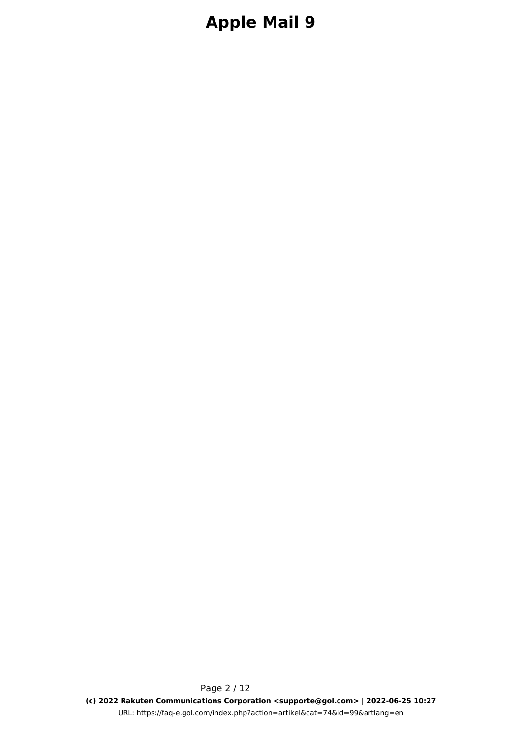Page 2 / 12 **(c) 2022 Rakuten Communications Corporation <supporte@gol.com> | 2022-06-25 10:27** [URL: https://faq-e.gol.com/index.php?action=artikel&cat=74&id=99&artlang=en](https://faq-e.gol.com/index.php?action=artikel&cat=74&id=99&artlang=en)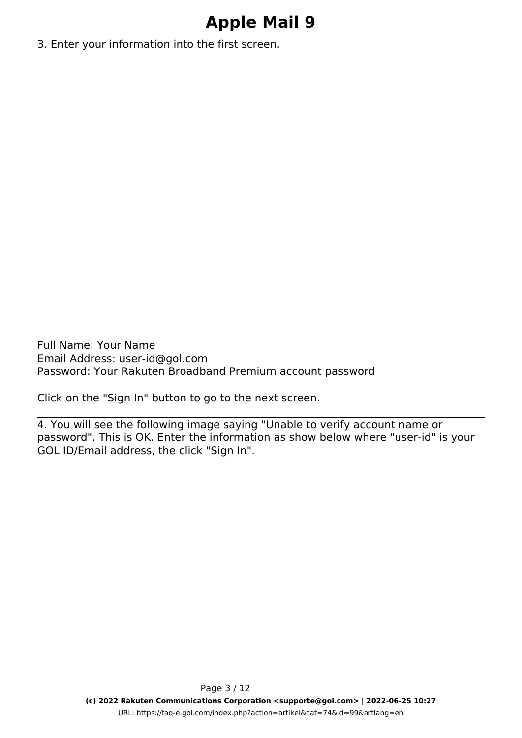3. Enter your information into the first screen.

Full Name: Your Name Email Address: user-id@gol.com Password: Your Rakuten Broadband Premium account password

Click on the "Sign In" button to go to the next screen.

4. You will see the following image saying "Unable to verify account name or password". This is OK. Enter the information as show below where "user-id" is your GOL ID/Email address, the click "Sign In".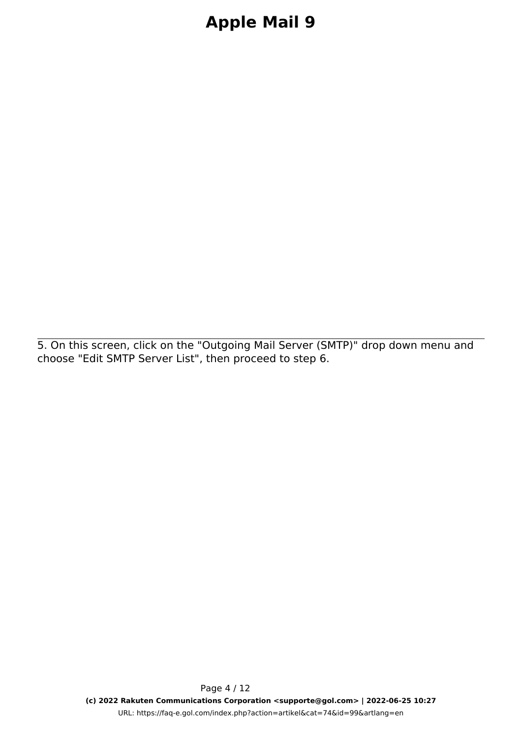5. On this screen, click on the "Outgoing Mail Server (SMTP)" drop down menu and choose "Edit SMTP Server List", then proceed to step 6.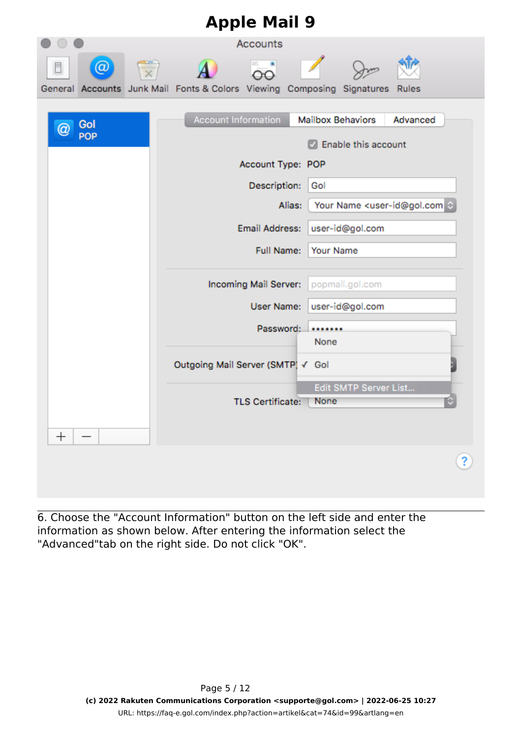

6. Choose the "Account Information" button on the left side and enter the information as shown below. After entering the information select the "Advanced"tab on the right side. Do not click "OK".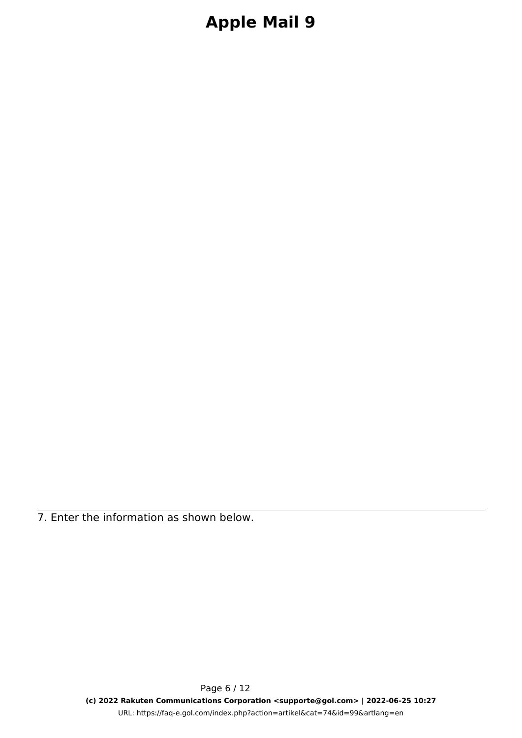7. Enter the information as shown below.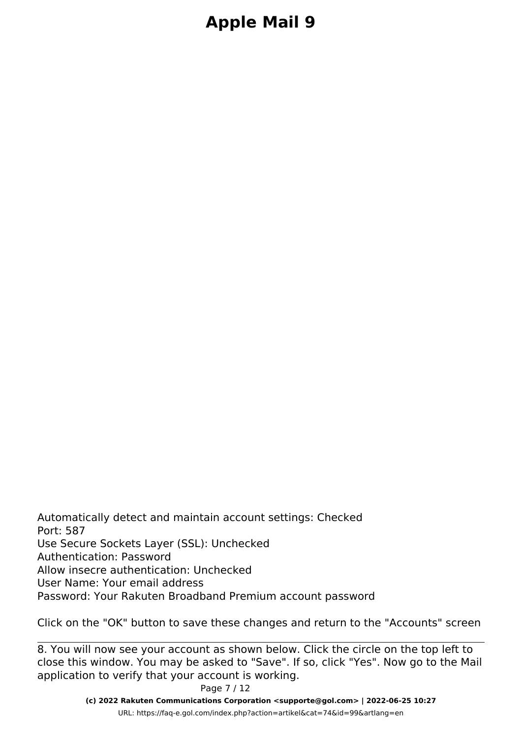Automatically detect and maintain account settings: Checked Port: 587 Use Secure Sockets Layer (SSL): Unchecked Authentication: Password Allow insecre authentication: Unchecked User Name: Your email address Password: Your Rakuten Broadband Premium account password

Click on the "OK" button to save these changes and return to the "Accounts" screen

8. You will now see your account as shown below. Click the circle on the top left to close this window. You may be asked to "Save". If so, click "Yes". Now go to the Mail application to verify that your account is working.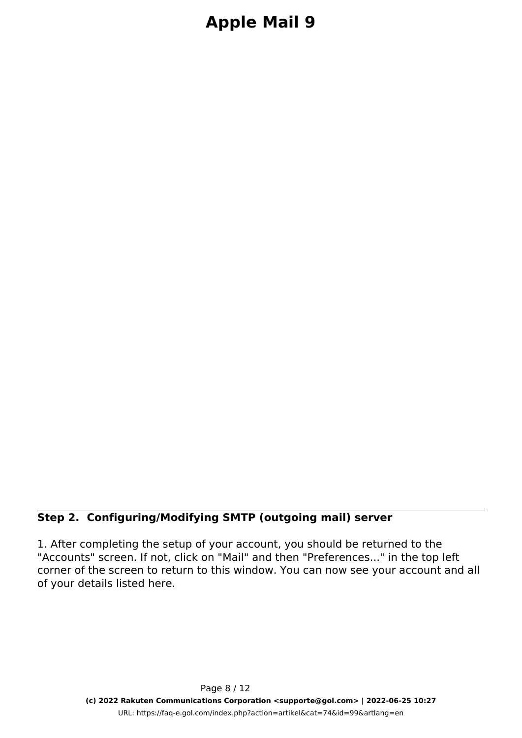#### **Step 2. Configuring/Modifying SMTP (outgoing mail) server**

1. After completing the setup of your account, you should be returned to the "Accounts" screen. If not, click on "Mail" and then "Preferences..." in the top left corner of the screen to return to this window. You can now see your account and all of your details listed here.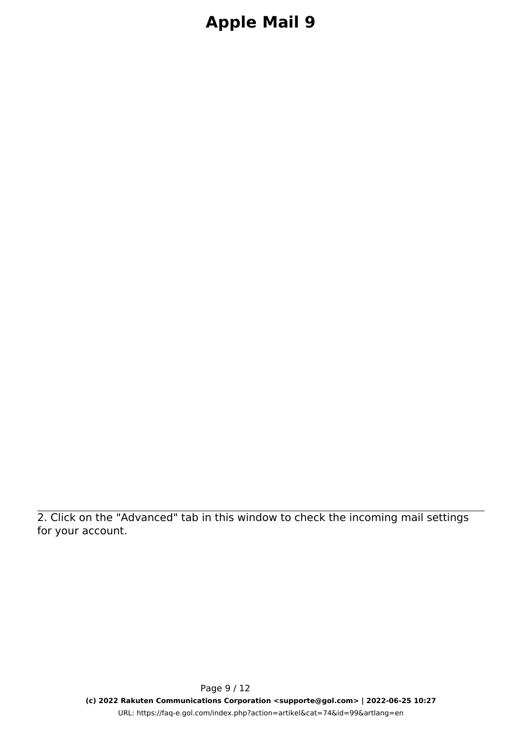2. Click on the "Advanced" tab in this window to check the incoming mail settings for your account.

> Page 9 / 12 **(c) 2022 Rakuten Communications Corporation <supporte@gol.com> | 2022-06-25 10:27** [URL: https://faq-e.gol.com/index.php?action=artikel&cat=74&id=99&artlang=en](https://faq-e.gol.com/index.php?action=artikel&cat=74&id=99&artlang=en)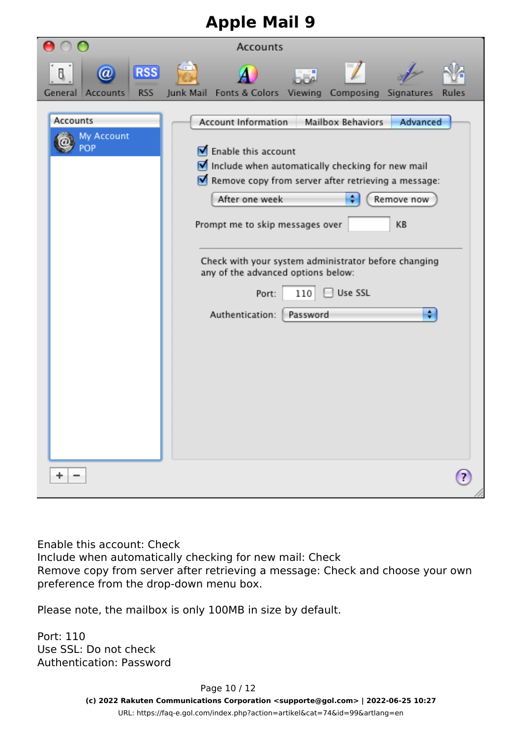| <b>Apple Mail 9</b>                                               |                                                                                                                                                                                                                                                                                                                                                                                                                              |  |  |  |  |
|-------------------------------------------------------------------|------------------------------------------------------------------------------------------------------------------------------------------------------------------------------------------------------------------------------------------------------------------------------------------------------------------------------------------------------------------------------------------------------------------------------|--|--|--|--|
| Accounts                                                          |                                                                                                                                                                                                                                                                                                                                                                                                                              |  |  |  |  |
| <b>RSS</b><br>$\omega$<br>g,<br><b>RSS</b><br>General<br>Accounts | Junk Mail Fonts & Colors Viewing Composing Signatures<br>Ru                                                                                                                                                                                                                                                                                                                                                                  |  |  |  |  |
| Accounts<br>My Account<br>POP                                     | Account Information<br>Mailbox Behaviors<br>Advanced<br>Enable this account<br>Include when automatically checking for new mail<br>Remove copy from server after retrieving a message:<br>After one week<br>Remove now<br>Prompt me to skip messages over<br>KВ<br>Check with your system administrator before changing<br>any of the advanced options below:<br>Use SSL<br>Port:<br>110<br>÷<br>Authentication:<br>Password |  |  |  |  |
| ÷.                                                                |                                                                                                                                                                                                                                                                                                                                                                                                                              |  |  |  |  |

Enable this account: Check

Include when automatically checking for new mail: Check Remove copy from server after retrieving a message: Check and choose your own preference from the drop-down menu box.

*Please note, the mailbox is only 100MB in size by default.*

Port: 110 Use SSL: Do not check Authentication: Password

> Page 10 / 12 **(c) 2022 Rakuten Communications Corporation <supporte@gol.com> | 2022-06-25 10:27** [URL: https://faq-e.gol.com/index.php?action=artikel&cat=74&id=99&artlang=en](https://faq-e.gol.com/index.php?action=artikel&cat=74&id=99&artlang=en)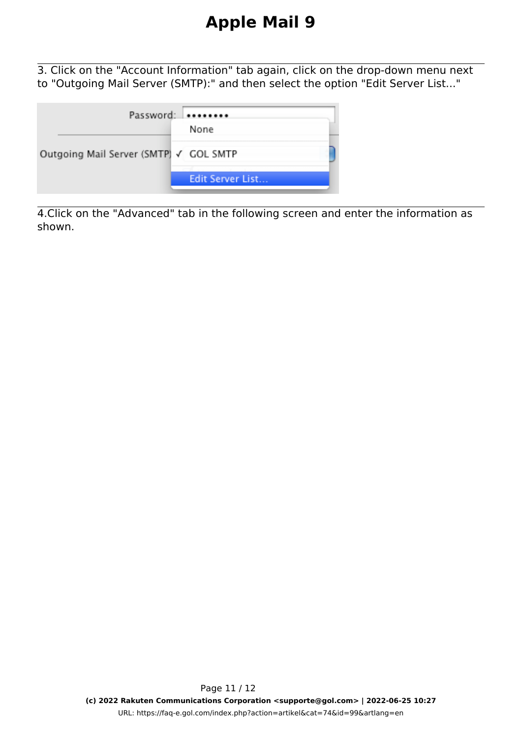3. Click on the "Account Information" tab again, click on the drop-down menu next to "Outgoing Mail Server (SMTP):" and then select the option "Edit Server List..."

| Password:                              |                  |
|----------------------------------------|------------------|
|                                        | None             |
| Outgoing Mail Server (SMTP) √ GOL SMTP |                  |
|                                        | Edit Server List |

4.Click on the "Advanced" tab in the following screen and enter the information as shown.